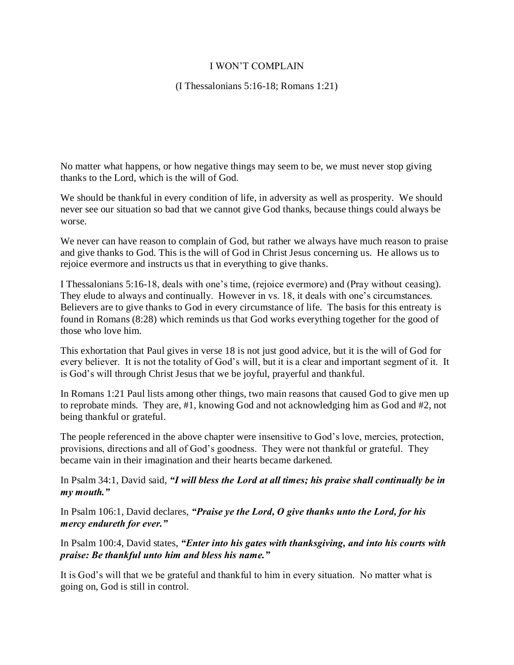## I WON'T COMPLAIN

(I Thessalonians 5:16-18; Romans 1:21)

No matter what happens, or how negative things may seem to be, we must never stop giving thanks to the Lord, which is the will of God.

We should be thankful in every condition of life, in adversity as well as prosperity. We should never see our situation so bad that we cannot give God thanks, because things could always be worse.

We never can have reason to complain of God, but rather we always have much reason to praise and give thanks to God. This is the will of God in Christ Jesus concerning us. He allows us to rejoice evermore and instructs us that in everything to give thanks.

I Thessalonians 5:16-18, deals with one's time, (rejoice evermore) and (Pray without ceasing). They elude to always and continually. However in vs. 18, it deals with one's circumstances. Believers are to give thanks to God in every circumstance of life. The basis for this entreaty is found in Romans (8:28) which reminds us that God works everything together for the good of those who love him.

This exhortation that Paul gives in verse 18 is not just good advice, but it is the will of God for every believer. It is not the totality of God's will, but it is a clear and important segment of it. It is God's will through Christ Jesus that we be joyful, prayerful and thankful.

In Romans 1:21 Paul lists among other things, two main reasons that caused God to give men up to reprobate minds. They are, #1, knowing God and not acknowledging him as God and #2, not being thankful or grateful.

The people referenced in the above chapter were insensitive to God's love, mercies, protection, provisions, directions and all of God's goodness. They were not thankful or grateful. They became vain in their imagination and their hearts became darkened.

In Psalm 34:1, David said, *"I will bless the Lord at all times; his praise shall continually be in my mouth."*

In Psalm 106:1, David declares, *"Praise ye the Lord, O give thanks unto the Lord, for his mercy endureth for ever."*

In Psalm 100:4, David states, *"Enter into his gates with thanksgiving, and into his courts with praise: Be thankful unto him and bless his name."*

It is God's will that we be grateful and thankful to him in every situation. No matter what is going on, God is still in control.